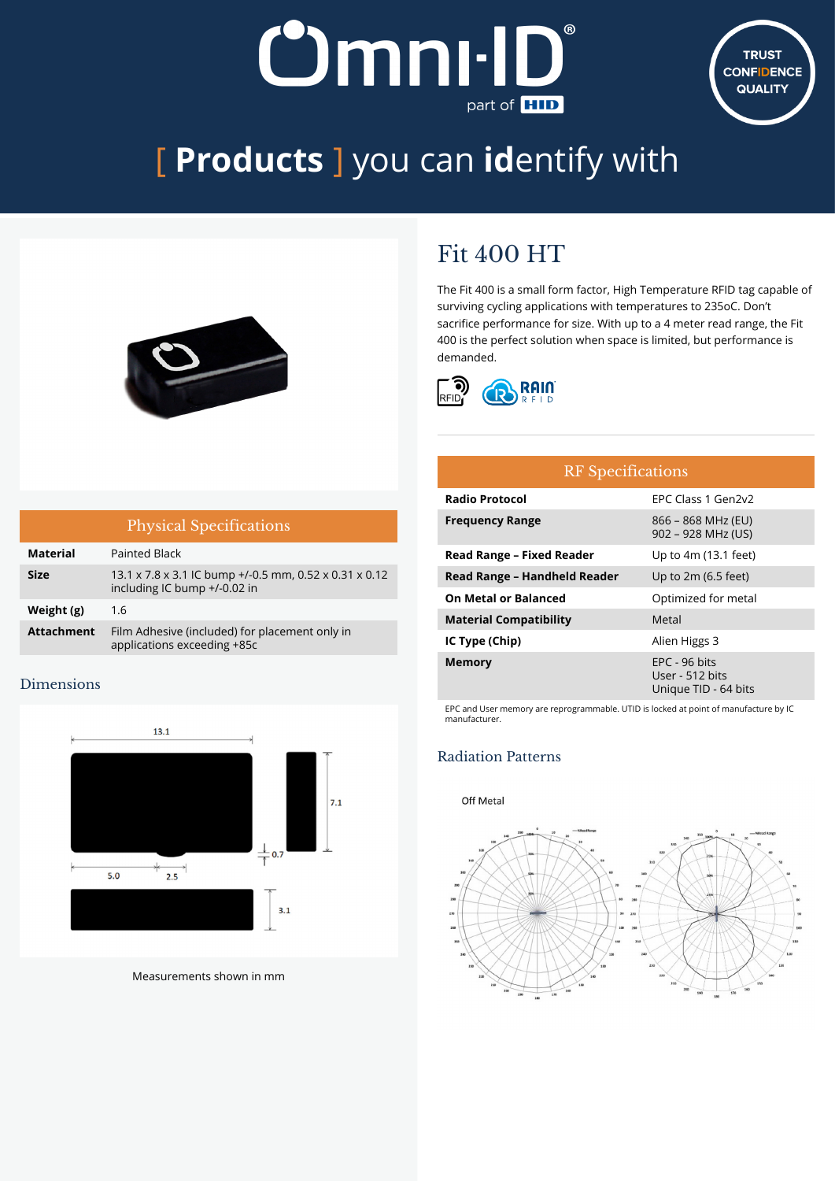# **Omni-ID** part of **HID**



# [ **Products** ] you can **id**entify with



## Fit 400 HT

The Fit 400 is a small form factor, High Temperature RFID tag capable of surviving cycling applications with temperatures to 235oC. Don't sacrifice performance for size. With up to a 4 meter read range, the Fit 400 is the perfect solution when space is limited, but performance is demanded.



| <b>Physical Specifications</b> |                                                                                        |  |  |
|--------------------------------|----------------------------------------------------------------------------------------|--|--|
| <b>Material</b>                | <b>Painted Black</b>                                                                   |  |  |
| <b>Size</b>                    | 13.1 x 7.8 x 3.1 IC bump +/-0.5 mm, 0.52 x 0.31 x 0.12<br>including IC bump +/-0.02 in |  |  |
| Weight (g)                     | 1.6                                                                                    |  |  |
| <b>Attachment</b>              | Film Adhesive (included) for placement only in<br>applications exceeding +85c          |  |  |

#### Dimensions



Measurements shown in mm

## RF Specifications **Radio Protocol** EPC Class 1 Gen2v2 **Frequency Range** 866 – 868 MHz (EU) 902 – 928 MHz (US) **Read Range – Fixed Reader** Up to 4m (13.1 feet) **Read Range – Handheld Reader** Up to 2m (6.5 feet) **On Metal or Balanced Calculary** Optimized for metal **Material Compatibility** Metal **IC Type (Chip)** Alien Higgs 3 **Memory** EPC - 96 bits

EPC and User memory are reprogrammable. UTID is locked at point of manufacture by IC manufacturer.

User - 512 bits Unique TID - 64 bits

## Radiation Patterns

#### Off Metal